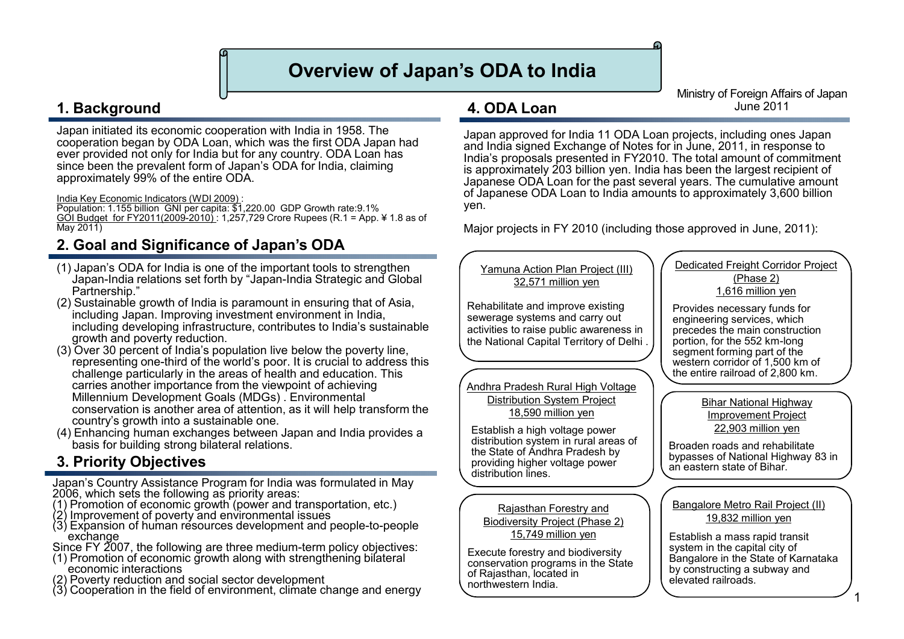# **Overview of Japan's ODA to India**

**4. ODA Loan**

### **1. Background**

Japan initiated its economic cooperation with India in 1958. The cooperation began by ODA Loan, which was the first ODA Japan had ever provided not only for India but for any country. ODA Loan has since been the prevalent form of Japan's ODA for India, claiming approximately 99% of the entire ODA.

India Key Economic Indicators (WDI 2009) :

Population: 1.155 billion GNI per capita: \$1,220.00 GDP Growth rate:9.1% GOI Budget for FY2011(2009-2010) : 1,257,729 Crore Rupees (R.1 = App. ¥ 1.8 as of May 2011)

### **2. Goal and Significance of Japan's ODA**

- (1) Japan's ODA for India is one of the important tools to strengthen Japan-India relations set forth by "Japan-India Strategic and Global Partnership."
- (2) Sustainable growth of India is paramount in ensuring that of Asia, including Japan. Improving investment environment in India, including developing infrastructure, contributes to India's sustainable growth and poverty reduction.
- (3) Over 30 percent of India's population live below the poverty line, representing one-third of the world's poor. It is crucial to address this challenge particularly in the areas of health and education. This carries another importance from the viewpoint of achieving Millennium Development Goals (MDGs) . Environmental conservation is another area of attention, as it will help transform the country's growth into a sustainable one.
- (4) Enhancing human exchanges between Japan and India provides a basis for building strong bilateral relations.

### **3. Priority Objectives**

Japan's Country Assistance Program for India was formulated in May 2006, which sets the following as priority areas:

- (1) Promotion of economic growth (power and transportation, etc.)
- (2) Improvement of poverty and environmental issues
- (3) Expansion of human resources development and people-to-people exchange
- Since FY 2007, the following are three medium-term policy objectives:
- (1) Promotion of economic growth along with strengthening bilateral economic interactions
- (2) Poverty reduction and social sector development
- (3) Cooperation in the field of environment, climate change and energy

Ministry of Foreign Affairs of Japan June 2011

Japan approved for India 11 ODA Loan projects, including ones Japan and India signed Exchange of Notes for in June, 2011, in response to India's proposals presented in FY2010. The total amount of commitment is approximately 203 billion yen. India has been the largest recipient of Japanese ODA Loan for the past several years. The cumulative amount of Japanese ODA Loan to India amounts to approximately 3,600 billion yen.

Major projects in FY 2010 (including those approved in June, 2011):

Yamuna Action Plan Project (III) 32,571 million yen

Rehabilitate and improve existing sewerage systems and carry out activities to raise public awareness in the National Capital Territory of Delhi .

Andhra Pradesh Rural High Voltage Distribution System Project 18,590 million yen

Establish a high voltage power distribution system in rural areas of the State of Andhra Pradesh by providing higher voltage power distribution lines.

Rajasthan Forestry and Biodiversity Project (Phase 2) 15,749 million yen

Execute forestry and biodiversity conservation programs in the State of Rajasthan, located in northwestern India.

Dedicated Freight Corridor Project (Phase 2) 1,616 million yen

Provides necessary funds for<br>engineering services, which precedes the main construction portion, for the 552 km-long segment forming part of the western corridor of 1,500 km of the entire railroad of 2,800 km.

> Bihar National Highway Improvement Project 22,903 million yen

Broaden roads and rehabilitate bypasses of National Highway 83 in an eastern state of Bihar.

Bangalore Metro Rail Project (II) 19,832 million yen

Establish a mass rapid transit system in the capital city of Bangalore in the State of Karnataka by constructing a subway and elevated railroads.

1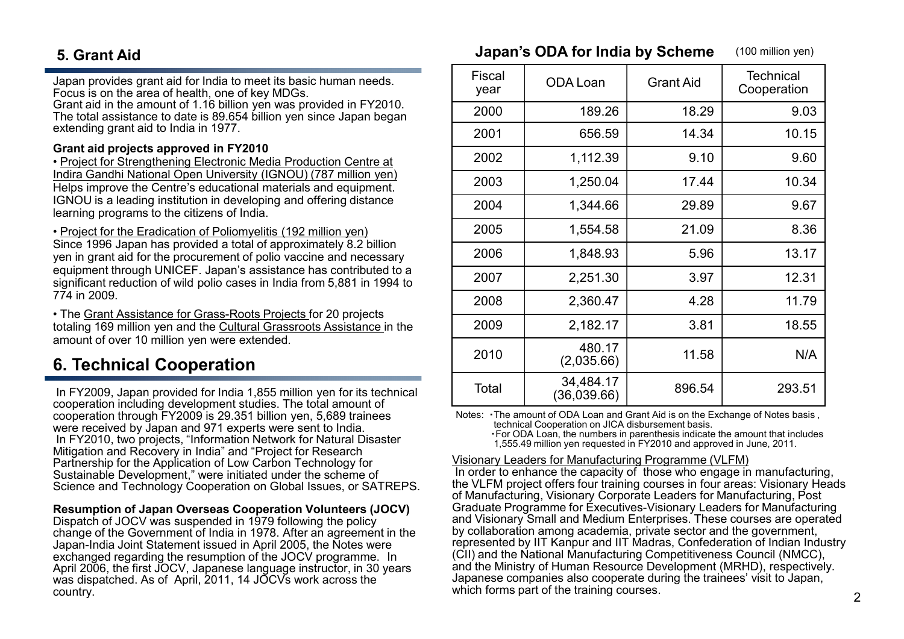## **5. Grant Aid**

Japan provides grant aid for India to meet its basic human needs. Focus is on the area of health, one of key MDGs.

Grant aid in the amount of 1.16 billion yen was provided in FY2010. The total assistance to date is 89.654 billion yen since Japan began extending grant aid to India in 1977.

#### **Grant aid projects approved in FY2010**

• Project for Strengthening Electronic Media Production Centre at Indira Gandhi National Open University (IGNOU) (787 million yen) Helps improve the Centre's educational materials and equipment. IGNOU is a leading institution in developing and offering distance learning programs to the citizens of India.

• Project for the Eradication of Poliomyelitis (192 million yen) Since 1996 Japan has provided a total of approximately 8.2 billion yen in grant aid for the procurement of polio vaccine and necessary equipment through UNICEF. Japan's assistance has contributed to a significant reduction of wild polio cases in India from 5,881 in 1994 to 774 in 2009.

• The Grant Assistance for Grass-Roots Projects for 20 projects totaling 169 million yen and the Cultural Grassroots Assistance in the amount of over 10 million yen were extended.

# **6. Technical Cooperation**

In FY2009, Japan provided for India 1,855 million yen for its technical cooperation including development studies. The total amount of cooperation through FY2009 is 29.351 billion yen, 5,689 trainees were received by Japan and 971 experts were sent to India. In FY2010, two projects, "Information Network for Natural Disaster Mitigation and Recovery in India" and "Project for Research Partnership for the Application of Low Carbon Technology for Sustainable Development," were initiated under the scheme of Science and Technology Cooperation on Global Issues, or SATREPS.

#### **Resumption of Japan Overseas Cooperation Volunteers (JOCV)**

Dispatch of JOCV was suspended in 1979 following the policy change of the Government of India in 1978. After an agreement in the Japan-India Joint Statement issued in April 2005, the Notes were exchanged regarding the resumption of the JOCV programme. In April 2006, the first JOCV, Japanese language instructor, in 30 years was dispatched. As of April, 2011, 14 JOCVs work across the country.

| Fiscal<br>year | ODA Loan                 | <b>Grant Aid</b> | <b>Technical</b><br>Cooperation |
|----------------|--------------------------|------------------|---------------------------------|
| 2000           | 189.26                   | 18.29            | 9.03                            |
| 2001           | 656.59                   | 14.34            | 10.15                           |
| 2002           | 1,112.39                 | 9.10             | 9.60                            |
| 2003           | 1,250.04                 | 17.44            | 10.34                           |
| 2004           | 1,344.66                 | 29.89            | 9.67                            |
| 2005           | 1,554.58                 | 21.09            | 8.36                            |
| 2006           | 1,848.93                 | 5.96             | 13.17                           |
| 2007           | 2,251.30                 | 3.97             | 12.31                           |
| 2008           | 2,360.47                 | 4.28             | 11.79                           |
| 2009           | 2,182.17                 | 3.81             | 18.55                           |
| 2010           | 480.17<br>(2,035.66)     | 11.58            | N/A                             |
| Total          | 34,484.17<br>(36,039.66) | 896.54           | 293.51                          |

**Japan's ODA for India by Scheme** (100 million yen)

Notes: ・The amount of ODA Loan and Grant Aid is on the Exchange of Notes basis , technical Cooperation on JICA disbursement basis.

・For ODA Loan, the numbers in parenthesis indicate the amount that includes 1,555.49 million yen requested in FY2010 and approved in June, 2011.

#### Visionary Leaders for Manufacturing Programme (VLFM)

In order to enhance the capacity of those who engage in manufacturing, the VLFM project offers four training courses in four areas: Visionary Heads of Manufacturing, Visionary Corporate Leaders for Manufacturing, Post Graduate Programme for Executives-Visionary Leaders for Manufacturing and Visionary Small and Medium Enterprises. These courses are operated by collaboration among academia, private sector and the government, represented by IIT Kanpur and IIT Madras, Confederation of Indian Industry (CII) and the National Manufacturing Competitiveness Council (NMCC), and the Ministry of Human Resource Development (MRHD), respectively. Japanese companies also cooperate during the trainees' visit to Japan, which forms part of the training courses.